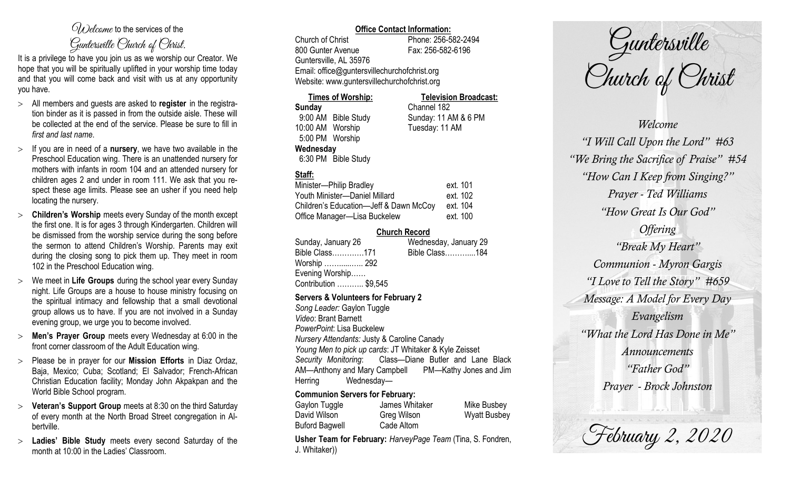# $\mathcal{O}_{\lambda}$  decame to the services of the Guntersville Church of Christ.

It is a privilege to have you join us as we worship our Creator. We hope that you will be spiritually uplifted in your worship time today and that you will come back and visit with us at any opportunity you have.

- All members and guests are asked to **register** in the registration binder as it is passed in from the outside aisle. These will be collected at the end of the service. Please be sure to fill in *first and last name*.
- $>$  If you are in need of a **nursery**, we have two available in the Preschool Education wing. There is an unattended nursery for mothers with infants in room 104 and an attended nursery for children ages 2 and under in room 111. We ask that you respect these age limits. Please see an usher if you need help locating the nursery.
- **Children's Worship** meets every Sunday of the month except the first one. It is for ages 3 through Kindergarten. Children will be dismissed from the worship service during the song before the sermon to attend Children's Worship. Parents may exit during the closing song to pick them up. They meet in room 102 in the Preschool Education wing.
- We meet in **Life Groups** during the school year every Sunday night. Life Groups are a house to house ministry focusing on the spiritual intimacy and fellowship that a small devotional group allows us to have. If you are not involved in a Sunday evening group, we urge you to become involved.
- **Men's Prayer Group** meets every Wednesday at 6:00 in the front corner classroom of the Adult Education wing.
- Please be in prayer for our **Mission Efforts** in Diaz Ordaz, Baja, Mexico; Cuba; Scotland; El Salvador; French-African Christian Education facility; Monday John Akpakpan and the World Bible School program.
- **Veteran's Support Group** meets at 8:30 on the third Saturday of every month at the North Broad Street congregation in Albertville.
- **Ladies' Bible Study** meets every second Saturday of the month at 10:00 in the Ladies' Classroom.

### **Office Contact Information:**

Church of Christ Phone: 256-582-2494 800 Gunter Avenue Fax: 256-582-6196 Guntersville, AL 35976 Email: office@guntersvillechurchofchrist.org Website: www.guntersvillechurchofchrist.org

**Times of Worship: Television Broadcast: Sunday** Channel 182 9:00 AM Bible Study Sunday: 11 AM & 6 PM 10:00 AM Worship Tuesday: 11 AM 5:00 PM Worship **Wednesday** 6:30 PM Bible Study

## **Staff:**

| Minister-Philip Bradley                | ext. 101 |
|----------------------------------------|----------|
| Youth Minister-Daniel Millard          | ext. 102 |
| Children's Education-Jeff & Dawn McCoy | ext. 104 |
| Office Manager-Lisa Buckelew           | ext. 100 |

#### **Church Record**

| Sunday, January 26    | Wednesday, January 29 |
|-----------------------|-----------------------|
| Bible Class171        | Bible Class184        |
| Worship  292          |                       |
| Evening Worship       |                       |
| Contribution  \$9,545 |                       |
|                       |                       |

#### **Servers & Volunteers for February 2**

*Song Leader:* Gaylon Tuggle *Video*: Brant Barnett *PowerPoint*: Lisa Buckelew *Nursery Attendants:* Justy & Caroline Canady *Young Men to pick up cards*: JT Whitaker & Kyle Zeisset *Security Monitoring*: Class—Diane Butler and Lane Black AM—Anthony and Mary Campbell PM—Kathy Jones and Jim Herring Wednesday—

#### **Communion Servers for February:**

| Gaylon Tuggle         | James Whitaker | Mike Busbey         |
|-----------------------|----------------|---------------------|
| David Wilson          | Greg Wilson    | <b>Wyatt Busbey</b> |
| <b>Buford Bagwell</b> | Cade Altom     |                     |

**Usher Team for February:** *HarveyPage Team* (Tina, S. Fondren, J. Whitaker))



*Welcome "I Will Call Upon the Lord" #63 "We Bring the Sacrifice of Praise" #54 "How Can I Keep from Singing?" Prayer - Ted Williams "How Great Is Our God" Offering "Break My Heart" Communion - Myron Gargis "I Love to Tell the Story" #659 Message: A Model for Every Day Evangelism "What the Lord Has Done in Me" Announcements "Father God" Prayer - Brock Johnston*

February 2, 2020